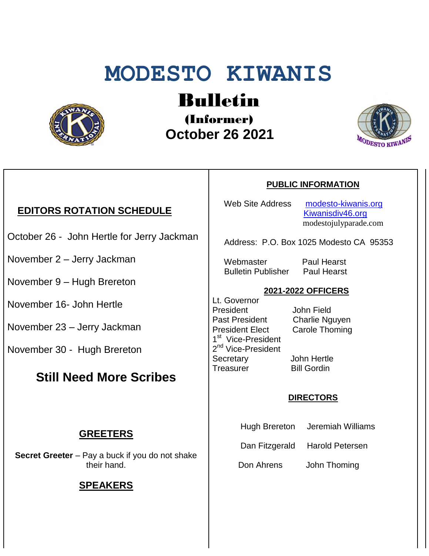# **MODESTO KIWANIS**



## Bulletin

(Informer)  **October 26 2021**



#### **EDITORS ROTATION SCHEDULE**

- October 26 John Hertle for Jerry Jackman
- November 2 Jerry Jackman
- November 9 Hugh Brereton
- November 16- John Hertle
- November 23 Jerry Jackman
- November 30 Hugh Brereton

### **Still Need More Scribes**

#### **GREETERS**

**Secret Greeter** – Pay a buck if you do not shake their hand.

#### **SPEAKERS**

#### **PUBLIC INFORMATION**

Web Site Address [modesto-kiwanis.org](http://modesto-kiwanis.org/) [Kiwanisdiv46.org](http://www.kiwanisdiv46.org/) modestojulyparade.com

Address: P.O. Box 1025 Modesto CA 95353

 Webmaster Paul Hearst Bulletin Publisher Paul Hearst

#### **2021-2022 OFFICERS**

Lt. Governor President John Field Past President Charlie Nguyen President Elect Carole Thoming 1<sup>st</sup> Vice-President 2<sup>nd</sup> Vice-President Secretary John Hertle Treasurer Bill Gordin

#### **DIRECTORS**

- Hugh Brereton Jeremiah Williams
- Dan Fitzgerald Harold Petersen

Don Ahrens John Thoming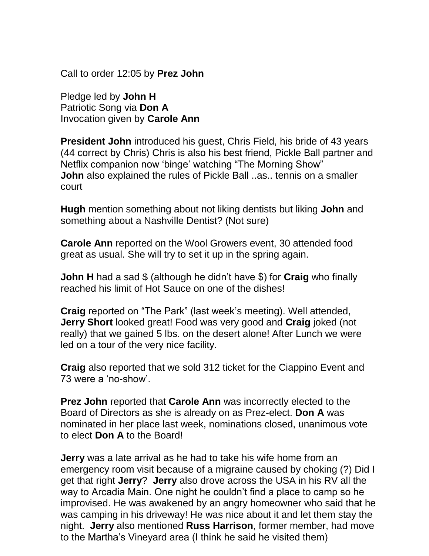Call to order 12:05 by **Prez John**

Pledge led by **John H** Patriotic Song via **Don A** Invocation given by **Carole Ann**

**President John** introduced his quest, Chris Field, his bride of 43 years (44 correct by Chris) Chris is also his best friend, Pickle Ball partner and Netflix companion now 'binge' watching "The Morning Show" **John** also explained the rules of Pickle Ball ..as.. tennis on a smaller court

**Hugh** mention something about not liking dentists but liking **John** and something about a Nashville Dentist? (Not sure)

**Carole Ann** reported on the Wool Growers event, 30 attended food great as usual. She will try to set it up in the spring again.

**John H** had a sad \$ (although he didn't have \$) for **Craig** who finally reached his limit of Hot Sauce on one of the dishes!

**Craig** reported on "The Park" (last week's meeting). Well attended, **Jerry Short** looked great! Food was very good and **Craig** joked (not really) that we gained 5 lbs. on the desert alone! After Lunch we were led on a tour of the very nice facility.

**Craig** also reported that we sold 312 ticket for the Ciappino Event and 73 were a 'no-show'.

**Prez John** reported that **Carole Ann** was incorrectly elected to the Board of Directors as she is already on as Prez-elect. **Don A** was nominated in her place last week, nominations closed, unanimous vote to elect **Don A** to the Board!

**Jerry** was a late arrival as he had to take his wife home from an emergency room visit because of a migraine caused by choking (?) Did I get that right **Jerry**? **Jerry** also drove across the USA in his RV all the way to Arcadia Main. One night he couldn't find a place to camp so he improvised. He was awakened by an angry homeowner who said that he was camping in his driveway! He was nice about it and let them stay the night. **Jerry** also mentioned **Russ Harrison**, former member, had move to the Martha's Vineyard area (I think he said he visited them)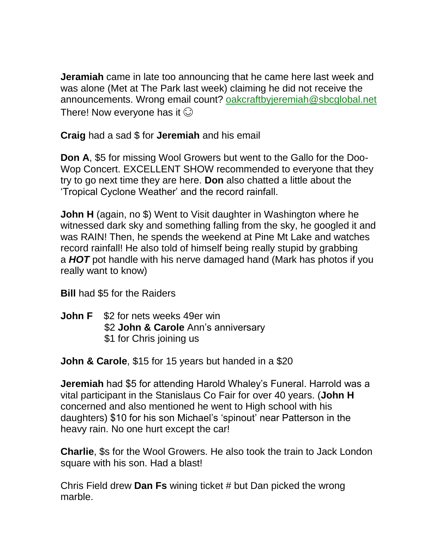**Jeramiah** came in late too announcing that he came here last week and was alone (Met at The Park last week) claiming he did not receive the announcements. Wrong email count? [oakcraftbyjeremiah@sbcglobal.net](mailto:oakcraftbyjeremiah@sbcglobal.net) There! Now everyone has it  $\odot$ 

**Craig** had a sad \$ for **Jeremiah** and his email

**Don A**, \$5 for missing Wool Growers but went to the Gallo for the Doo-Wop Concert. EXCELLENT SHOW recommended to everyone that they try to go next time they are here. **Don** also chatted a little about the 'Tropical Cyclone Weather' and the record rainfall.

**John H** (again, no \$) Went to Visit daughter in Washington where he witnessed dark sky and something falling from the sky, he googled it and was RAIN! Then, he spends the weekend at Pine Mt Lake and watches record rainfall! He also told of himself being really stupid by grabbing a *HOT* pot handle with his nerve damaged hand (Mark has photos if you really want to know)

**Bill** had \$5 for the Raiders

**John F** \$2 for nets weeks 49er win \$2 **John & Carole** Ann's anniversary \$1 for Chris joining us

**John & Carole**, \$15 for 15 years but handed in a \$20

**Jeremiah** had \$5 for attending Harold Whaley's Funeral. Harrold was a vital participant in the Stanislaus Co Fair for over 40 years. (**John H** concerned and also mentioned he went to High school with his daughters) \$10 for his son Michael's 'spinout' near Patterson in the heavy rain. No one hurt except the car!

**Charlie**, \$s for the Wool Growers. He also took the train to Jack London square with his son. Had a blast!

Chris Field drew **Dan Fs** wining ticket # but Dan picked the wrong marble.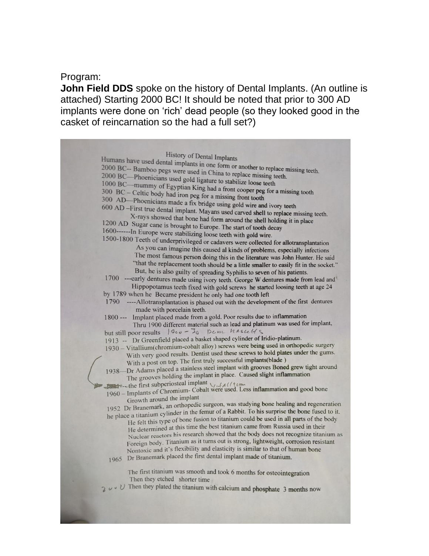#### Program:

**John Field DDS** spoke on the history of Dental Implants. (An outline is attached) Starting 2000 BC! It should be noted that prior to 300 AD implants were done on 'rich' dead people (so they looked good in the casket of reincarnation so the had a full set?)

History of Dental Implants Humans have used dental implants in one form or another to replace missing teeth.<br>2000 BC-- Bamboo pegs were used in China to replace missing teeth. 2000 BC-- Bamboo pegs were used in China to replace missing teeth.<br>2000 BC-- Phoenicians used onld ligative to a lift. 2000 BC—Phoenicians used gold ligature to stabilize loose teeth<br>1000 BC—mummy of Foyntian King belo stabilize loose teeth 1000 BC—mummy of Egyptian King had a front cooper peg for a missing tooth<br>300 BC – Celtic body had iron peg for a missing front tool.  $300 \text{ BC} - \text{Celtic body had iron peg}$  from a front cooper peg<br> $300 \text{ AD}$ —Phoenicians medal of  $\frac{1}{2}$ 300 AD—Phoenicians made a fix bridge using gold wire and ivory teeth<br>600 AD—First true dental implore  $M<sub>c</sub>$ 600 AD -First true dental implant. Mayans used carved shell to replace missing teeth.<br>X-rays showed that bone had farm and increase in the state of the state of the state of the state of the state of the state of the state X-rays showed that bone had form around the shell holding it in place<br>Sugar cane is brought to E<sub>n</sub> 1200 AD Sugar cane is brought to Europe. The start of tooth decay 1500-1800 Teeth of underprivileged or cadavers were collected for allotransplantation As you can imagine this caused al kinds of problems, especially infections The most famous person doing this in the literature was John Hunter. He said "that the replacement tooth should be a little smaller to easily fit in the socket." But, he is also guilty of spreading Syphilis to seven of his patients. 1700 --- early dentures made using ivory teeth. George W dentures made from lead and Hippopotamus teeth fixed with gold screws he started loosing teeth at age 24 by 1789 when he Became president he only had one tooth left 1790 ----Allotransplantation is phased out with the development of the first dentures made with porcelain teeth. 1800 --- Implant placed made from a gold. Poor results due to inflammation Thru 1900 different material such as lead and platinum was used for implant, but still poor results  $|900 - 30|$  Dem hascelfs 1913 -- Dr Greenfield placed a basket shaped cylinder of Iridio-platinum. 1915 -- Di Orcentrela placed a called angles by were being used in orthopedic surgery With very good results. Dentist used these screws to hold plates under the gums. With a post on top. The first truly successful implants (blade) With a post on top. The first truly successful implants (black)<br>1938—Dr Adams placed a stainless steel implant with grooves **Boned** grew tight around Dr Adams placed a statifiest steel inplant with goover boiled growing<br>The grooves holding the implant in place. Caused slight inflammation The grooves holding the implant in place. Caused stight inframediation<br>  $\frac{1}{2}$  = -the first subperiosteal implant<br>  $\frac{1}{2}$  = -the first subperiosteal implant<br>  $\frac{1}{2}$  = -the first subperiosteal implant<br>  $\frac{1}{2}$  = Growth around the implant Growth around the implant<br>1952 Dr Branemark, an orthopedic surgeon, was studying bone healing and regeneration<br>1952 Dr Branemark, it do in the femur of a Rabbit. To his surprise the bone fused to it. the place a titanium cylinder in the femur of a Rabbit. To his survey we health to this subset of the book e a titanium cylinder in the felial of a ration. To all supplies are only fasca to the<br>He felt this type of bone fusion to titanium could be used in all parts of the body He felt this type of bone rasion to trainiant edge of a disearch and parts of the t Nuclear reactors his research showed that the body does not recognize titanium as Foreign body. Titanium as it turns out is strong, lightweight, corrosion resistant Nontoxic and it's flexibility and elasticity is similar to that of human bone 1965 Dr Branemark placed the first dental implant made of titanium. The first titanium was smooth and took 6 months for osteointegration Then they etched shorter time  $\sqrt{2}$   $\sqrt{U}$  Then they plated the titanium with calcium and phosphate 3 months now